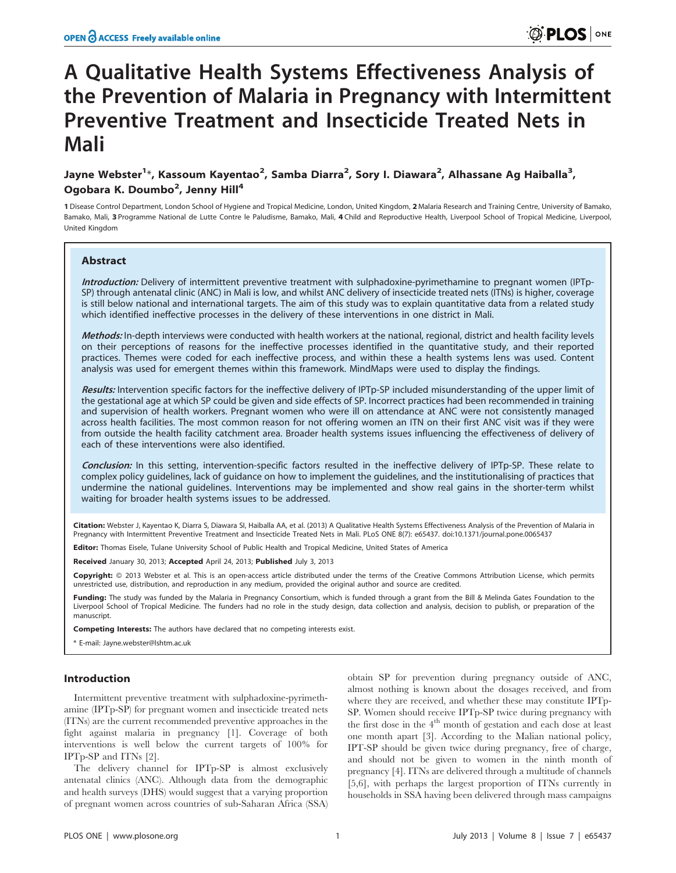# A Qualitative Health Systems Effectiveness Analysis of the Prevention of Malaria in Pregnancy with Intermittent Preventive Treatment and Insecticide Treated Nets in Mali

# Jayne Webster<sup>1</sup>\*, Kassoum Kayentao<sup>2</sup>, Samba Diarra<sup>2</sup>, Sory I. Diawara<sup>2</sup>, Alhassane Ag Haiballa<sup>3</sup>, Ogobara K. Doumbo<sup>2</sup>, Jenny Hill<sup>4</sup>

1 Disease Control Department, London School of Hygiene and Tropical Medicine, London, United Kingdom, 2 Malaria Research and Training Centre, University of Bamako, Bamako, Mali, 3 Programme National de Lutte Contre le Paludisme, Bamako, Mali, 4 Child and Reproductive Health, Liverpool School of Tropical Medicine, Liverpool, United Kingdom

# Abstract

Introduction: Delivery of intermittent preventive treatment with sulphadoxine-pyrimethamine to pregnant women (IPTp-SP) through antenatal clinic (ANC) in Mali is low, and whilst ANC delivery of insecticide treated nets (ITNs) is higher, coverage is still below national and international targets. The aim of this study was to explain quantitative data from a related study which identified ineffective processes in the delivery of these interventions in one district in Mali.

Methods: In-depth interviews were conducted with health workers at the national, regional, district and health facility levels on their perceptions of reasons for the ineffective processes identified in the quantitative study, and their reported practices. Themes were coded for each ineffective process, and within these a health systems lens was used. Content analysis was used for emergent themes within this framework. MindMaps were used to display the findings.

Results: Intervention specific factors for the ineffective delivery of IPTp-SP included misunderstanding of the upper limit of the gestational age at which SP could be given and side effects of SP. Incorrect practices had been recommended in training and supervision of health workers. Pregnant women who were ill on attendance at ANC were not consistently managed across health facilities. The most common reason for not offering women an ITN on their first ANC visit was if they were from outside the health facility catchment area. Broader health systems issues influencing the effectiveness of delivery of each of these interventions were also identified.

Conclusion: In this setting, intervention-specific factors resulted in the ineffective delivery of IPTp-SP. These relate to complex policy guidelines, lack of guidance on how to implement the guidelines, and the institutionalising of practices that undermine the national guidelines. Interventions may be implemented and show real gains in the shorter-term whilst waiting for broader health systems issues to be addressed.

Citation: Webster J, Kayentao K, Diarra S, Diawara SI, Haiballa AA, et al. (2013) A Qualitative Health Systems Effectiveness Analysis of the Prevention of Malaria in Pregnancy with Intermittent Preventive Treatment and Insecticide Treated Nets in Mali. PLoS ONE 8(7): e65437. doi:10.1371/journal.pone.0065437

Editor: Thomas Eisele, Tulane University School of Public Health and Tropical Medicine, United States of America

Received January 30, 2013; Accepted April 24, 2013; Published July 3, 2013

**Copyright:** © 2013 Webster et al. This is an open-access article distributed under the terms of the Creative Commons Attribution License, which permits unrestricted use, distribution, and reproduction in any medium, provided the original author and source are credited.

Funding: The study was funded by the Malaria in Pregnancy Consortium, which is funded through a grant from the Bill & Melinda Gates Foundation to the Liverpool School of Tropical Medicine. The funders had no role in the study design, data collection and analysis, decision to publish, or preparation of the manuscript.

Competing Interests: The authors have declared that no competing interests exist.

\* E-mail: Jayne.webster@lshtm.ac.uk

# Introduction

Intermittent preventive treatment with sulphadoxine-pyrimethamine (IPTp-SP) for pregnant women and insecticide treated nets (ITNs) are the current recommended preventive approaches in the fight against malaria in pregnancy [1]. Coverage of both interventions is well below the current targets of 100% for IPTp-SP and ITNs [2].

The delivery channel for IPTp-SP is almost exclusively antenatal clinics (ANC). Although data from the demographic and health surveys (DHS) would suggest that a varying proportion of pregnant women across countries of sub-Saharan Africa (SSA) obtain SP for prevention during pregnancy outside of ANC, almost nothing is known about the dosages received, and from where they are received, and whether these may constitute IPTp-SP. Women should receive IPTp-SP twice during pregnancy with the first dose in the  $4<sup>th</sup>$  month of gestation and each dose at least one month apart [3]. According to the Malian national policy, IPT-SP should be given twice during pregnancy, free of charge, and should not be given to women in the ninth month of pregnancy [4]. ITNs are delivered through a multitude of channels [5,6], with perhaps the largest proportion of ITNs currently in households in SSA having been delivered through mass campaigns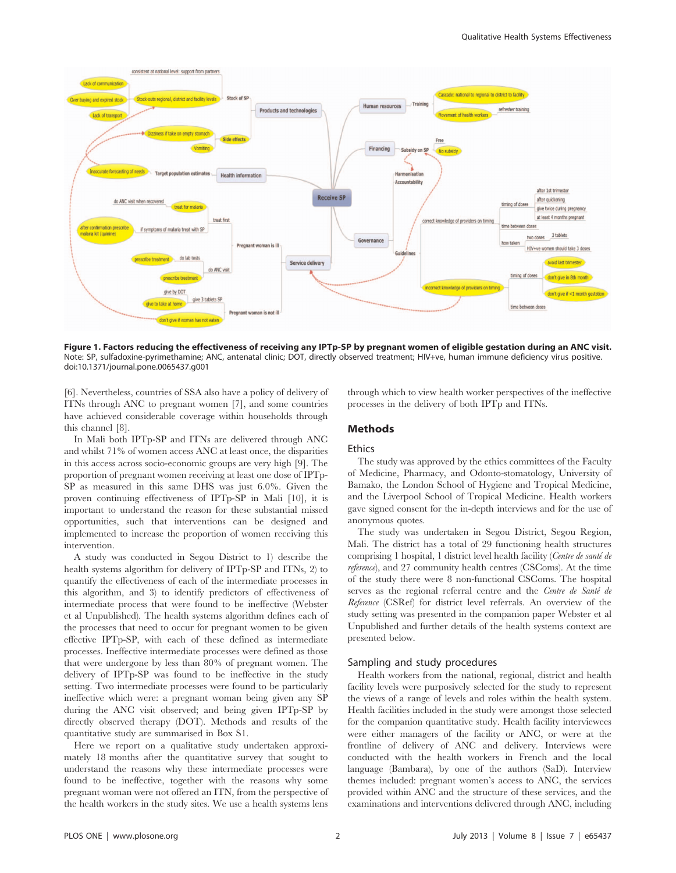

Figure 1. Factors reducing the effectiveness of receiving any IPTp-SP by pregnant women of eligible gestation during an ANC visit. Note: SP, sulfadoxine-pyrimethamine; ANC, antenatal clinic; DOT, directly observed treatment; HIV+ve, human immune deficiency virus positive. doi:10.1371/journal.pone.0065437.g001

[6]. Nevertheless, countries of SSA also have a policy of delivery of ITNs through ANC to pregnant women [7], and some countries have achieved considerable coverage within households through this channel [8].

In Mali both IPTp-SP and ITNs are delivered through ANC and whilst 71% of women access ANC at least once, the disparities in this access across socio-economic groups are very high [9]. The proportion of pregnant women receiving at least one dose of IPTp-SP as measured in this same DHS was just 6.0%. Given the proven continuing effectiveness of IPTp-SP in Mali [10], it is important to understand the reason for these substantial missed opportunities, such that interventions can be designed and implemented to increase the proportion of women receiving this intervention.

A study was conducted in Segou District to 1) describe the health systems algorithm for delivery of IPTp-SP and ITNs, 2) to quantify the effectiveness of each of the intermediate processes in this algorithm, and 3) to identify predictors of effectiveness of intermediate process that were found to be ineffective (Webster et al Unpublished). The health systems algorithm defines each of the processes that need to occur for pregnant women to be given effective IPTp-SP, with each of these defined as intermediate processes. Ineffective intermediate processes were defined as those that were undergone by less than 80% of pregnant women. The delivery of IPTp-SP was found to be ineffective in the study setting. Two intermediate processes were found to be particularly ineffective which were: a pregnant woman being given any SP during the ANC visit observed; and being given IPTp-SP by directly observed therapy (DOT). Methods and results of the quantitative study are summarised in Box S1.

Here we report on a qualitative study undertaken approximately 18 months after the quantitative survey that sought to understand the reasons why these intermediate processes were found to be ineffective, together with the reasons why some pregnant woman were not offered an ITN, from the perspective of the health workers in the study sites. We use a health systems lens

through which to view health worker perspectives of the ineffective processes in the delivery of both IPTp and ITNs.

# Methods

# **Ethics**

The study was approved by the ethics committees of the Faculty of Medicine, Pharmacy, and Odonto-stomatology, University of Bamako, the London School of Hygiene and Tropical Medicine, and the Liverpool School of Tropical Medicine. Health workers gave signed consent for the in-depth interviews and for the use of anonymous quotes.

The study was undertaken in Segou District, Segou Region, Mali. The district has a total of 29 functioning health structures comprising 1 hospital, 1 district level health facility (Centre de santé de reference), and 27 community health centres (CSComs). At the time of the study there were 8 non-functional CSComs. The hospital serves as the regional referral centre and the Centre de Santé de Reference (CSRef) for district level referrals. An overview of the study setting was presented in the companion paper Webster et al Unpublished and further details of the health systems context are presented below.

## Sampling and study procedures

Health workers from the national, regional, district and health facility levels were purposively selected for the study to represent the views of a range of levels and roles within the health system. Health facilities included in the study were amongst those selected for the companion quantitative study. Health facility interviewees were either managers of the facility or ANC, or were at the frontline of delivery of ANC and delivery. Interviews were conducted with the health workers in French and the local language (Bambara), by one of the authors (SaD). Interview themes included: pregnant women's access to ANC, the services provided within ANC and the structure of these services, and the examinations and interventions delivered through ANC, including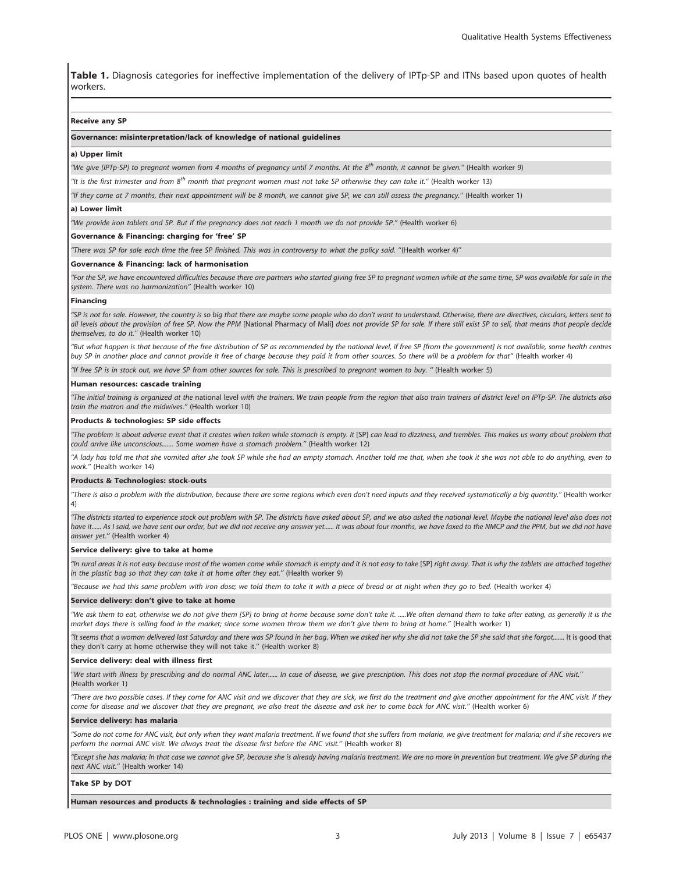Table 1. Diagnosis categories for ineffective implementation of the delivery of IPTp-SP and ITNs based upon quotes of health workers.

#### Receive any SP

#### Governance: misinterpretation/lack of knowledge of national guidelines

## a) Upper limit

"We give [IPTp-SP] to pregnant women from 4 months of pregnancy until 7 months. At the 8<sup>th</sup> month, it cannot be given." (Health worker 9)

"It is the first trimester and from  $8^{th}$  month that pregnant women must not take SP otherwise they can take it." (Health worker 13)

''If they come at 7 months, their next appointment will be 8 month, we cannot give SP, we can still assess the pregnancy.'' (Health worker 1)

#### a) Lower limit

''We provide iron tablets and SP. But if the pregnancy does not reach 1 month we do not provide SP.'' (Health worker 6)

#### Governance & Financing: charging for 'free' SP

''There was SP for sale each time the free SP finished. This was in controversy to what the policy said. ''(Health worker 4)''

#### Governance & Financing: lack of harmonisation

''For the SP, we have encountered difficulties because there are partners who started giving free SP to pregnant women while at the same time, SP was available for sale in the system. There was no harmonization'' (Health worker 10)

#### Financing

''SP is not for sale. However, the country is so big that there are maybe some people who do don't want to understand. Otherwise, there are directives, circulars, letters sent to all levels about the provision of free SP. Now the PPM [National Pharmacy of Mali] does not provide SP for sale. If there still exist SP to sell, that means that people decide themselves, to do it.'' (Health worker 10)

''But what happen is that because of the free distribution of SP as recommended by the national level, if free SP [from the government] is not available, some health centres buy SP in another place and cannot provide it free of charge because they paid it from other sources. So there will be a problem for that'' (Health worker 4)

''If free SP is in stock out, we have SP from other sources for sale. This is prescribed to pregnant women to buy. '' (Health worker 5)

#### Human resources: cascade training

''The initial training is organized at the national level with the trainers. We train people from the region that also train trainers of district level on IPTp-SP. The districts also train the matron and the midwives.'' (Health worker 10)

#### Products & technologies: SP side effects

''The problem is about adverse event that it creates when taken while stomach is empty. It [SP] can lead to dizziness, and trembles. This makes us worry about problem that could arrive like unconscious....... Some women have a stomach problem.'' (Health worker 12)

"A lady has told me that she vomited after she took SP while she had an empty stomach. Another told me that, when she took it she was not able to do anything, even to work.'' (Health worker 14)

#### Products & Technologies: stock-outs

''There is also a problem with the distribution, because there are some regions which even don't need inputs and they received systematically a big quantity.'' (Health worker 4)

''The districts started to experience stock out problem with SP. The districts have asked about SP, and we also asked the national level. Maybe the national level also does not have it...... As I said, we have sent our order, but we did not receive any answer yet...... It was about four months, we have faxed to the NMCP and the PPM, but we did not have answer yet.'' (Health worker 4)

#### Service delivery: give to take at home

''In rural areas it is not easy because most of the women come while stomach is empty and it is not easy to take [SP] right away. That is why the tablets are attached together in the plastic bag so that they can take it at home after they eat.'' (Health worker 9)

''Because we had this same problem with iron dose; we told them to take it with a piece of bread or at night when they go to bed. (Health worker 4)

#### Service delivery: don't give to take at home

''We ask them to eat, otherwise we do not give them [SP] to bring at home because some don't take it. .....We often demand them to take after eating, as generally it is the market days there is selling food in the market; since some women throw them we don't give them to bring at home.'' (Health worker 1)

''It seems that a woman delivered last Saturday and there was SP found in her bag. When we asked her why she did not take the SP she said that she forgot....... It is good that they don't carry at home otherwise they will not take it.'' (Health worker 8)

#### Service delivery: deal with illness first

''We start with illness by prescribing and do normal ANC later...... In case of disease, we give prescription. This does not stop the normal procedure of ANC visit.'' (Health worker 1)

''There are two possible cases. If they come for ANC visit and we discover that they are sick, we first do the treatment and give another appointment for the ANC visit. If they come for disease and we discover that they are pregnant, we also treat the disease and ask her to come back for ANC visit.'' (Health worker 6)

#### Service delivery: has malaria

''Some do not come for ANC visit, but only when they want malaria treatment. If we found that she suffers from malaria, we give treatment for malaria; and if she recovers we perform the normal ANC visit. We always treat the disease first before the ANC visit.'' (Health worker 8)

''Except she has malaria; In that case we cannot give SP, because she is already having malaria treatment. We are no more in prevention but treatment. We give SP during the next ANC visit.'' (Health worker 14)

#### Take SP by DOT

Human resources and products & technologies : training and side effects of SP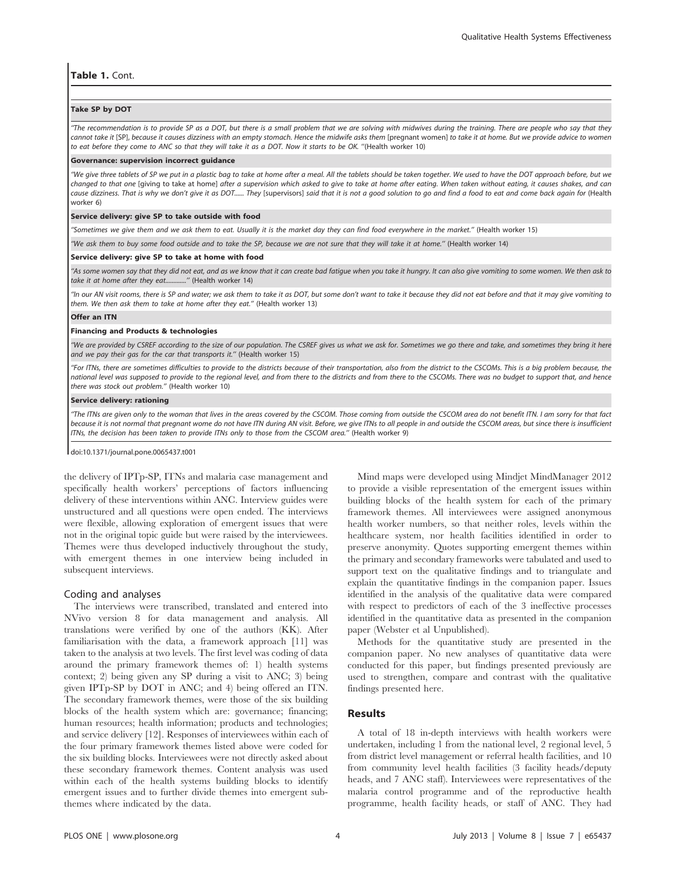## Table 1. Cont.

#### Take SP by DOT

''The recommendation is to provide SP as a DOT, but there is a small problem that we are solving with midwives during the training. There are people who say that they cannot take it [SP], because it causes dizziness with an empty stomach. Hence the midwife asks them [pregnant women] to take it at home. But we provide advice to women to eat before they come to ANC so that they will take it as a DOT. Now it starts to be OK. ''(Health worker 10)

#### Governance: supervision incorrect guidance

''We give three tablets of SP we put in a plastic bag to take at home after a meal. All the tablets should be taken together. We used to have the DOT approach before, but we changed to that one [giving to take at home] after a supervision which asked to give to take at home after eating. When taken without eating, it causes shakes, and can cause dizziness. That is why we don't give it as DOT...... They [supervisors] said that it is not a good solution to go and find a food to eat and come back again for (Health worker 6)

## Service delivery: give SP to take outside with food

''Sometimes we give them and we ask them to eat. Usually it is the market day they can find food everywhere in the market.'' (Health worker 15)

''We ask them to buy some food outside and to take the SP, because we are not sure that they will take it at home.'' (Health worker 14)

#### Service delivery: give SP to take at home with food

"As some women say that they did not eat, and as we know that it can create bad fatigue when you take it hungry. It can also give vomiting to some women. We then ask to<br>take it at home after they eat…………" (Health worker 14 take it at home after they eat........

''In our AN visit rooms, there is SP and water; we ask them to take it as DOT, but some don't want to take it because they did not eat before and that it may give vomiting to them. We then ask them to take at home after they eat.'' (Health worker 13)

## Offer an ITN

#### Financing and Products & technologies

''We are provided by CSREF according to the size of our population. The CSREF gives us what we ask for. Sometimes we go there and take, and sometimes they bring it here and we pay their gas for the car that transports it.'' (Health worker 15)

''For ITNs, there are sometimes difficulties to provide to the districts because of their transportation, also from the district to the CSCOMs. This is a big problem because, the national level was supposed to provide to the regional level, and from there to the districts and from there to the CSCOMs. There was no budget to support that, and hence there was stock out problem.'' (Health worker 10)

#### Service delivery: rationing

''The ITNs are given only to the woman that lives in the areas covered by the CSCOM. Those coming from outside the CSCOM area do not benefit ITN. I am sorry for that fact because it is not normal that pregnant wome do not have ITN during AN visit. Before, we give ITNs to all people in and outside the CSCOM areas, but since there is insufficient ITNs, the decision has been taken to provide ITNs only to those from the CSCOM area.'' (Health worker 9)

doi:10.1371/journal.pone.0065437.t001

the delivery of IPTp-SP, ITNs and malaria case management and specifically health workers' perceptions of factors influencing delivery of these interventions within ANC. Interview guides were unstructured and all questions were open ended. The interviews were flexible, allowing exploration of emergent issues that were not in the original topic guide but were raised by the interviewees. Themes were thus developed inductively throughout the study, with emergent themes in one interview being included in subsequent interviews.

# Coding and analyses

The interviews were transcribed, translated and entered into NVivo version 8 for data management and analysis. All translations were verified by one of the authors (KK). After familiarisation with the data, a framework approach [11] was taken to the analysis at two levels. The first level was coding of data around the primary framework themes of: 1) health systems context; 2) being given any SP during a visit to ANC; 3) being given IPTp-SP by DOT in ANC; and 4) being offered an ITN. The secondary framework themes, were those of the six building blocks of the health system which are: governance; financing; human resources; health information; products and technologies; and service delivery [12]. Responses of interviewees within each of the four primary framework themes listed above were coded for the six building blocks. Interviewees were not directly asked about these secondary framework themes. Content analysis was used within each of the health systems building blocks to identify emergent issues and to further divide themes into emergent subthemes where indicated by the data.

Mind maps were developed using Mindjet MindManager 2012 to provide a visible representation of the emergent issues within building blocks of the health system for each of the primary framework themes. All interviewees were assigned anonymous health worker numbers, so that neither roles, levels within the healthcare system, nor health facilities identified in order to preserve anonymity. Quotes supporting emergent themes within the primary and secondary frameworks were tabulated and used to support text on the qualitative findings and to triangulate and explain the quantitative findings in the companion paper. Issues identified in the analysis of the qualitative data were compared with respect to predictors of each of the 3 ineffective processes identified in the quantitative data as presented in the companion paper (Webster et al Unpublished).

Methods for the quantitative study are presented in the companion paper. No new analyses of quantitative data were conducted for this paper, but findings presented previously are used to strengthen, compare and contrast with the qualitative findings presented here.

# Results

A total of 18 in-depth interviews with health workers were undertaken, including 1 from the national level, 2 regional level, 5 from district level management or referral health facilities, and 10 from community level health facilities (3 facility heads/deputy heads, and 7 ANC staff). Interviewees were representatives of the malaria control programme and of the reproductive health programme, health facility heads, or staff of ANC. They had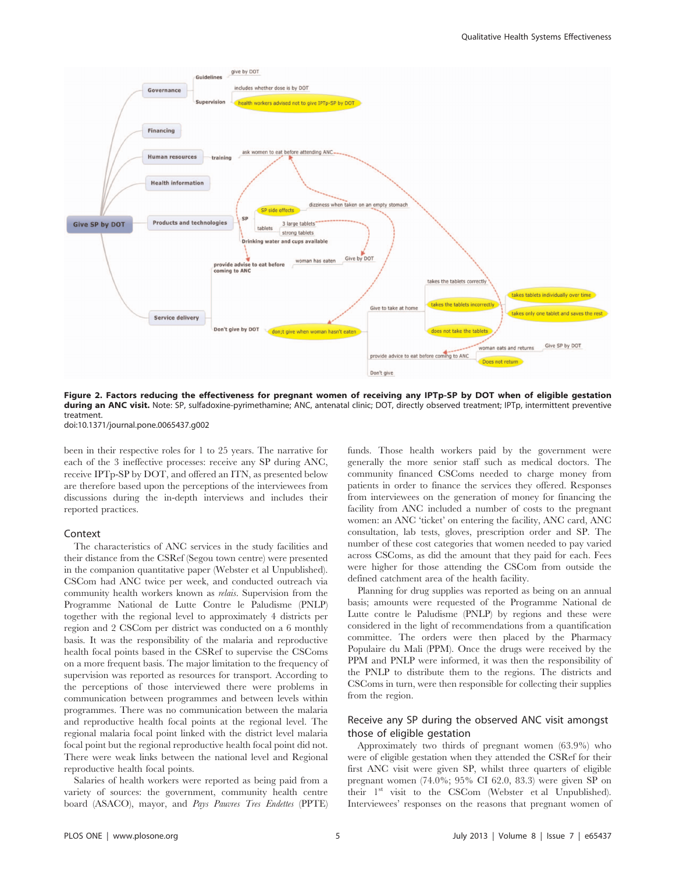

Figure 2. Factors reducing the effectiveness for pregnant women of receiving any IPTp-SP by DOT when of eligible gestation during an ANC visit. Note: SP, sulfadoxine-pyrimethamine; ANC, antenatal clinic; DOT, directly observed treatment; IPTp, intermittent preventive treatment.

doi:10.1371/journal.pone.0065437.g002

been in their respective roles for 1 to 25 years. The narrative for each of the 3 ineffective processes: receive any SP during ANC, receive IPTp-SP by DOT, and offered an ITN, as presented below are therefore based upon the perceptions of the interviewees from discussions during the in-depth interviews and includes their reported practices.

## Context

The characteristics of ANC services in the study facilities and their distance from the CSRef (Segou town centre) were presented in the companion quantitative paper (Webster et al Unpublished). CSCom had ANC twice per week, and conducted outreach via community health workers known as relais. Supervision from the Programme National de Lutte Contre le Paludisme (PNLP) together with the regional level to approximately 4 districts per region and 2 CSCom per district was conducted on a 6 monthly basis. It was the responsibility of the malaria and reproductive health focal points based in the CSRef to supervise the CSComs on a more frequent basis. The major limitation to the frequency of supervision was reported as resources for transport. According to the perceptions of those interviewed there were problems in communication between programmes and between levels within programmes. There was no communication between the malaria and reproductive health focal points at the regional level. The regional malaria focal point linked with the district level malaria focal point but the regional reproductive health focal point did not. There were weak links between the national level and Regional reproductive health focal points.

Salaries of health workers were reported as being paid from a variety of sources: the government, community health centre board (ASACO), mayor, and Pays Pauvres Tres Endettes (PPTE)

funds. Those health workers paid by the government were generally the more senior staff such as medical doctors. The community financed CSComs needed to charge money from patients in order to finance the services they offered. Responses from interviewees on the generation of money for financing the facility from ANC included a number of costs to the pregnant women: an ANC 'ticket' on entering the facility, ANC card, ANC consultation, lab tests, gloves, prescription order and SP. The number of these cost categories that women needed to pay varied across CSComs, as did the amount that they paid for each. Fees were higher for those attending the CSCom from outside the defined catchment area of the health facility.

Planning for drug supplies was reported as being on an annual basis; amounts were requested of the Programme National de Lutte contre le Paludisme (PNLP) by regions and these were considered in the light of recommendations from a quantification committee. The orders were then placed by the Pharmacy Populaire du Mali (PPM). Once the drugs were received by the PPM and PNLP were informed, it was then the responsibility of the PNLP to distribute them to the regions. The districts and CSComs in turn, were then responsible for collecting their supplies from the region.

# Receive any SP during the observed ANC visit amongst those of eligible gestation

Approximately two thirds of pregnant women (63.9%) who were of eligible gestation when they attended the CSRef for their first ANC visit were given SP, whilst three quarters of eligible pregnant women (74.0%; 95% CI 62.0, 83.3) were given SP on their  $1^{st}$  visit to the CSCom (Webster et al Unpublished). Interviewees' responses on the reasons that pregnant women of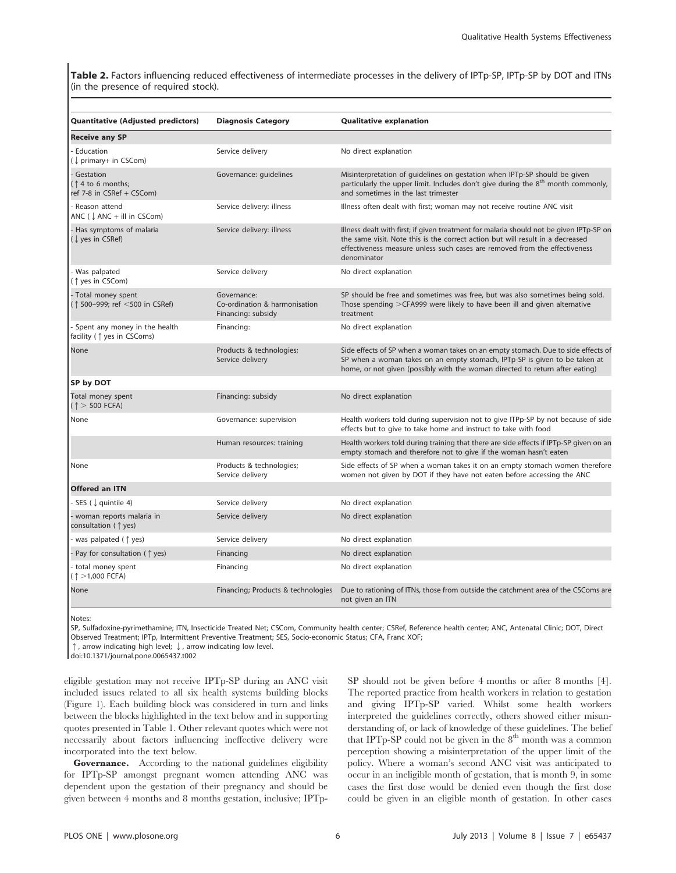Table 2. Factors influencing reduced effectiveness of intermediate processes in the delivery of IPTp-SP, IPTp-SP by DOT and ITNs (in the presence of required stock).

| <b>Quantitative (Adjusted predictors)</b>                                 | <b>Diagnosis Category</b>                                          | Qualitative explanation                                                                                                                                                                                                                                                |
|---------------------------------------------------------------------------|--------------------------------------------------------------------|------------------------------------------------------------------------------------------------------------------------------------------------------------------------------------------------------------------------------------------------------------------------|
| <b>Receive any SP</b>                                                     |                                                                    |                                                                                                                                                                                                                                                                        |
| <b>Education</b><br>( primary+ in CSCom)                                  | Service delivery                                                   | No direct explanation                                                                                                                                                                                                                                                  |
| - Gestation<br>$($ $\uparrow$ 4 to 6 months;<br>ref 7-8 in CSRef + CSCom) | Governance: guidelines                                             | Misinterpretation of guidelines on gestation when IPTp-SP should be given<br>particularly the upper limit. Includes don't give during the 8 <sup>th</sup> month commonly,<br>and sometimes in the last trimester                                                       |
| Reason attend<br>ANC ( $\downarrow$ ANC + ill in CSCom)                   | Service delivery: illness                                          | Illness often dealt with first; woman may not receive routine ANC visit                                                                                                                                                                                                |
| - Has symptoms of malaria<br>( ves in CSRef)                              | Service delivery: illness                                          | Illness dealt with first; if given treatment for malaria should not be given IPTp-SP on<br>the same visit. Note this is the correct action but will result in a decreased<br>effectiveness measure unless such cases are removed from the effectiveness<br>denominator |
| Was palpated<br>( $\uparrow$ yes in CSCom)                                | Service delivery                                                   | No direct explanation                                                                                                                                                                                                                                                  |
| - Total money spent<br>(↑ 500-999; ref <500 in CSRef)                     | Governance:<br>Co-ordination & harmonisation<br>Financing: subsidy | SP should be free and sometimes was free, but was also sometimes being sold.<br>Those spending $\geq$ CFA999 were likely to have been ill and given alternative<br>treatment                                                                                           |
| Spent any money in the health<br>facility ( $\uparrow$ yes in CSComs)     | Financing:                                                         | No direct explanation                                                                                                                                                                                                                                                  |
| None                                                                      | Products & technologies;<br>Service delivery                       | Side effects of SP when a woman takes on an empty stomach. Due to side effects of<br>SP when a woman takes on an empty stomach, IPTp-SP is given to be taken at<br>home, or not given (possibly with the woman directed to return after eating)                        |
| SP by DOT                                                                 |                                                                    |                                                                                                                                                                                                                                                                        |
| Total money spent<br>$($ $\uparrow$ > 500 FCFA)                           | Financing: subsidy                                                 | No direct explanation                                                                                                                                                                                                                                                  |
| None                                                                      | Governance: supervision                                            | Health workers told during supervision not to give ITPp-SP by not because of side<br>effects but to give to take home and instruct to take with food                                                                                                                   |
|                                                                           | Human resources: training                                          | Health workers told during training that there are side effects if IPTp-SP given on an<br>empty stomach and therefore not to give if the woman hasn't eaten                                                                                                            |
| None                                                                      | Products & technologies;<br>Service delivery                       | Side effects of SP when a woman takes it on an empty stomach women therefore<br>women not given by DOT if they have not eaten before accessing the ANC                                                                                                                 |
| Offered an ITN                                                            |                                                                    |                                                                                                                                                                                                                                                                        |
| SES ( $\downarrow$ quintile 4)                                            | Service delivery                                                   | No direct explanation                                                                                                                                                                                                                                                  |
| woman reports malaria in<br>consultation ( $\uparrow$ yes)                | Service delivery                                                   | No direct explanation                                                                                                                                                                                                                                                  |
| was palpated ( $\uparrow$ yes)                                            | Service delivery                                                   | No direct explanation                                                                                                                                                                                                                                                  |
| ∙ Pay for consultation (↑ yes)                                            | Financing                                                          | No direct explanation                                                                                                                                                                                                                                                  |
| total money spent<br>$($ $\uparrow$ >1,000 FCFA)                          | Financing                                                          | No direct explanation                                                                                                                                                                                                                                                  |
| None                                                                      | Financing; Products & technologies                                 | Due to rationing of ITNs, those from outside the catchment area of the CSComs are<br>not given an ITN                                                                                                                                                                  |

Notes:

SP, Sulfadoxine-pyrimethamine; ITN, Insecticide Treated Net; CSCom, Community health center; CSRef, Reference health center; ANC, Antenatal Clinic; DOT, Direct Observed Treatment; IPTp, Intermittent Preventive Treatment; SES, Socio-economic Status; CFA, Franc XOF;

 $\uparrow$ , arrow indicating high level;  $\downarrow$ , arrow indicating low level.

doi:10.1371/journal.pone.0065437.t002

eligible gestation may not receive IPTp-SP during an ANC visit included issues related to all six health systems building blocks (Figure 1). Each building block was considered in turn and links between the blocks highlighted in the text below and in supporting quotes presented in Table 1. Other relevant quotes which were not necessarily about factors influencing ineffective delivery were incorporated into the text below.

Governance. According to the national guidelines eligibility for IPTp-SP amongst pregnant women attending ANC was dependent upon the gestation of their pregnancy and should be given between 4 months and 8 months gestation, inclusive; IPTpSP should not be given before 4 months or after 8 months [4]. The reported practice from health workers in relation to gestation and giving IPTp-SP varied. Whilst some health workers interpreted the guidelines correctly, others showed either misunderstanding of, or lack of knowledge of these guidelines. The belief that IPTp-SP could not be given in the 8<sup>th</sup> month was a common perception showing a misinterpretation of the upper limit of the policy. Where a woman's second ANC visit was anticipated to occur in an ineligible month of gestation, that is month 9, in some cases the first dose would be denied even though the first dose could be given in an eligible month of gestation. In other cases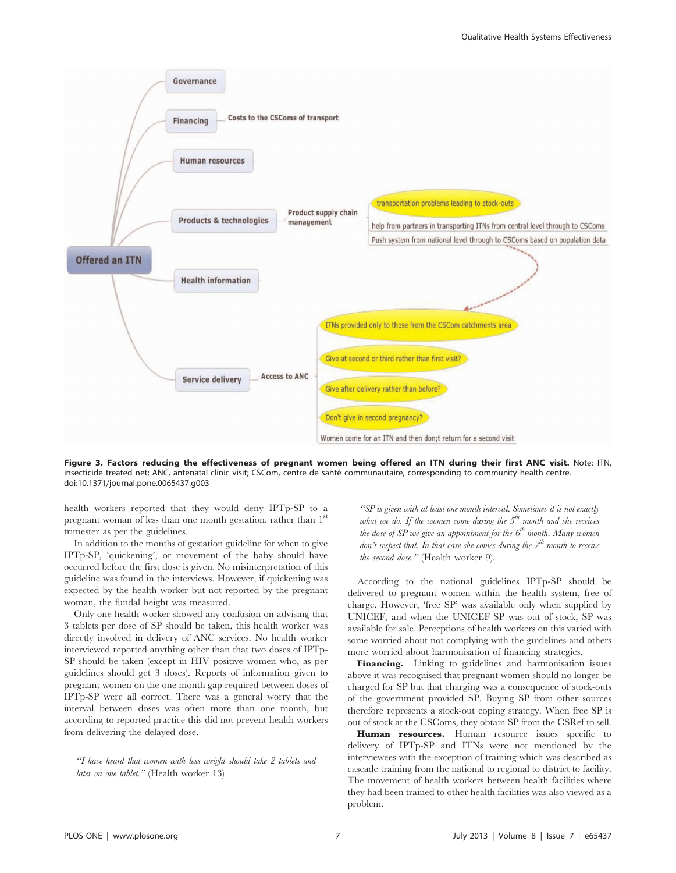

Figure 3. Factors reducing the effectiveness of pregnant women being offered an ITN during their first ANC visit. Note: ITN, insecticide treated net; ANC, antenatal clinic visit; CSCom, centre de santé communautaire, corresponding to community health centre. doi:10.1371/journal.pone.0065437.g003

health workers reported that they would deny IPTp-SP to a pregnant woman of less than one month gestation, rather than 1<sup>st</sup> trimester as per the guidelines.

In addition to the months of gestation guideline for when to give IPTp-SP, 'quickening', or movement of the baby should have occurred before the first dose is given. No misinterpretation of this guideline was found in the interviews. However, if quickening was expected by the health worker but not reported by the pregnant woman, the fundal height was measured.

Only one health worker showed any confusion on advising that 3 tablets per dose of SP should be taken, this health worker was directly involved in delivery of ANC services. No health worker interviewed reported anything other than that two doses of IPTp-SP should be taken (except in HIV positive women who, as per guidelines should get 3 doses). Reports of information given to pregnant women on the one month gap required between doses of IPTp-SP were all correct. There was a general worry that the interval between doses was often more than one month, but according to reported practice this did not prevent health workers from delivering the delayed dose.

''I have heard that women with less weight should take 2 tablets and later on one tablet.'' (Health worker 13)

''SP is given with at least one month interval. Sometimes it is not exactly what we do. If the women come during the  $5<sup>th</sup>$  month and she receives the dose of SP we give an appointment for the  $6<sup>th</sup>$  month. Many women don't respect that. In that case she comes during the  $7<sup>th</sup>$  month to receive the second dose." (Health worker 9).

According to the national guidelines IPTp-SP should be delivered to pregnant women within the health system, free of charge. However, 'free SP' was available only when supplied by UNICEF, and when the UNICEF SP was out of stock, SP was available for sale. Perceptions of health workers on this varied with some worried about not complying with the guidelines and others more worried about harmonisation of financing strategies.

Financing. Linking to guidelines and harmonisation issues above it was recognised that pregnant women should no longer be charged for SP but that charging was a consequence of stock-outs of the government provided SP. Buying SP from other sources therefore represents a stock-out coping strategy. When free SP is out of stock at the CSComs, they obtain SP from the CSRef to sell.

Human resources. Human resource issues specific to delivery of IPTp-SP and ITNs were not mentioned by the interviewees with the exception of training which was described as cascade training from the national to regional to district to facility. The movement of health workers between health facilities where they had been trained to other health facilities was also viewed as a problem.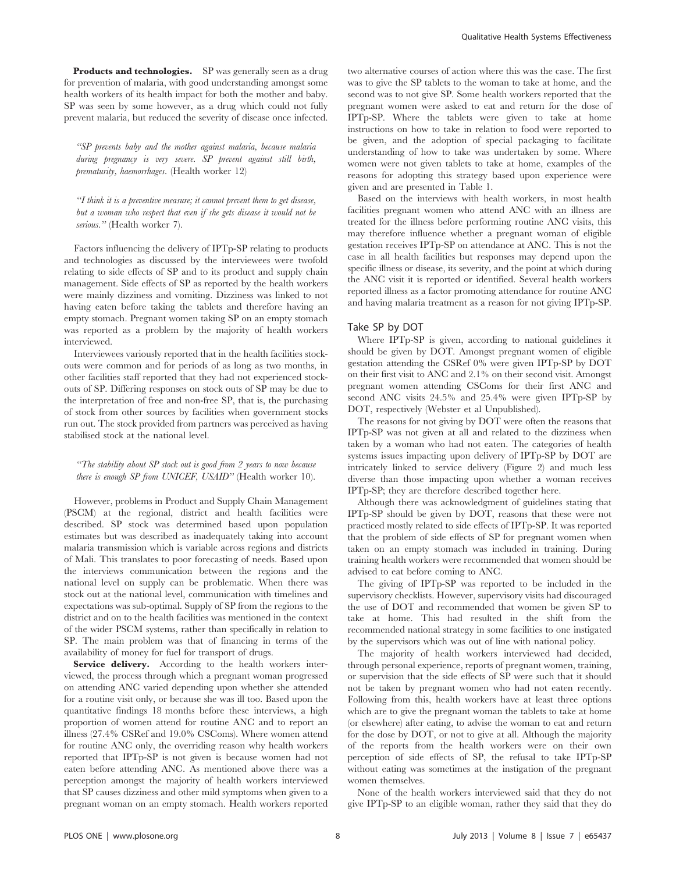Products and technologies. SP was generally seen as a drug for prevention of malaria, with good understanding amongst some health workers of its health impact for both the mother and baby. SP was seen by some however, as a drug which could not fully prevent malaria, but reduced the severity of disease once infected.

''SP prevents baby and the mother against malaria, because malaria during pregnancy is very severe. SP prevent against still birth, prematurity, haemorrhages. (Health worker 12)

''I think it is a preventive measure; it cannot prevent them to get disease, but a woman who respect that even if she gets disease it would not be serious." (Health worker 7).

Factors influencing the delivery of IPTp-SP relating to products and technologies as discussed by the interviewees were twofold relating to side effects of SP and to its product and supply chain management. Side effects of SP as reported by the health workers were mainly dizziness and vomiting. Dizziness was linked to not having eaten before taking the tablets and therefore having an empty stomach. Pregnant women taking SP on an empty stomach was reported as a problem by the majority of health workers interviewed.

Interviewees variously reported that in the health facilities stockouts were common and for periods of as long as two months, in other facilities staff reported that they had not experienced stockouts of SP. Differing responses on stock outs of SP may be due to the interpretation of free and non-free SP, that is, the purchasing of stock from other sources by facilities when government stocks run out. The stock provided from partners was perceived as having stabilised stock at the national level.

# ''The stability about SP stock out is good from 2 years to now because there is enough SP from UNICEF, USAID" (Health worker 10).

However, problems in Product and Supply Chain Management (PSCM) at the regional, district and health facilities were described. SP stock was determined based upon population estimates but was described as inadequately taking into account malaria transmission which is variable across regions and districts of Mali. This translates to poor forecasting of needs. Based upon the interviews communication between the regions and the national level on supply can be problematic. When there was stock out at the national level, communication with timelines and expectations was sub-optimal. Supply of SP from the regions to the district and on to the health facilities was mentioned in the context of the wider PSCM systems, rather than specifically in relation to SP. The main problem was that of financing in terms of the availability of money for fuel for transport of drugs.

Service delivery. According to the health workers interviewed, the process through which a pregnant woman progressed on attending ANC varied depending upon whether she attended for a routine visit only, or because she was ill too. Based upon the quantitative findings 18 months before these interviews, a high proportion of women attend for routine ANC and to report an illness (27.4% CSRef and 19.0% CSComs). Where women attend for routine ANC only, the overriding reason why health workers reported that IPTp-SP is not given is because women had not eaten before attending ANC. As mentioned above there was a perception amongst the majority of health workers interviewed that SP causes dizziness and other mild symptoms when given to a pregnant woman on an empty stomach. Health workers reported two alternative courses of action where this was the case. The first was to give the SP tablets to the woman to take at home, and the second was to not give SP. Some health workers reported that the pregnant women were asked to eat and return for the dose of IPTp-SP. Where the tablets were given to take at home instructions on how to take in relation to food were reported to be given, and the adoption of special packaging to facilitate understanding of how to take was undertaken by some. Where women were not given tablets to take at home, examples of the reasons for adopting this strategy based upon experience were given and are presented in Table 1.

Based on the interviews with health workers, in most health facilities pregnant women who attend ANC with an illness are treated for the illness before performing routine ANC visits, this may therefore influence whether a pregnant woman of eligible gestation receives IPTp-SP on attendance at ANC. This is not the case in all health facilities but responses may depend upon the specific illness or disease, its severity, and the point at which during the ANC visit it is reported or identified. Several health workers reported illness as a factor promoting attendance for routine ANC and having malaria treatment as a reason for not giving IPTp-SP.

## Take SP by DOT

Where IPTp-SP is given, according to national guidelines it should be given by DOT. Amongst pregnant women of eligible gestation attending the CSRef 0% were given IPTp-SP by DOT on their first visit to ANC and 2.1% on their second visit. Amongst pregnant women attending CSComs for their first ANC and second ANC visits 24.5% and 25.4% were given IPTp-SP by DOT, respectively (Webster et al Unpublished).

The reasons for not giving by DOT were often the reasons that IPTp-SP was not given at all and related to the dizziness when taken by a woman who had not eaten. The categories of health systems issues impacting upon delivery of IPTp-SP by DOT are intricately linked to service delivery (Figure 2) and much less diverse than those impacting upon whether a woman receives IPTp-SP; they are therefore described together here.

Although there was acknowledgment of guidelines stating that IPTp-SP should be given by DOT, reasons that these were not practiced mostly related to side effects of IPTp-SP. It was reported that the problem of side effects of SP for pregnant women when taken on an empty stomach was included in training. During training health workers were recommended that women should be advised to eat before coming to ANC.

The giving of IPTp-SP was reported to be included in the supervisory checklists. However, supervisory visits had discouraged the use of DOT and recommended that women be given SP to take at home. This had resulted in the shift from the recommended national strategy in some facilities to one instigated by the supervisors which was out of line with national policy.

The majority of health workers interviewed had decided, through personal experience, reports of pregnant women, training, or supervision that the side effects of SP were such that it should not be taken by pregnant women who had not eaten recently. Following from this, health workers have at least three options which are to give the pregnant woman the tablets to take at home (or elsewhere) after eating, to advise the woman to eat and return for the dose by DOT, or not to give at all. Although the majority of the reports from the health workers were on their own perception of side effects of SP, the refusal to take IPTp-SP without eating was sometimes at the instigation of the pregnant women themselves.

None of the health workers interviewed said that they do not give IPTp-SP to an eligible woman, rather they said that they do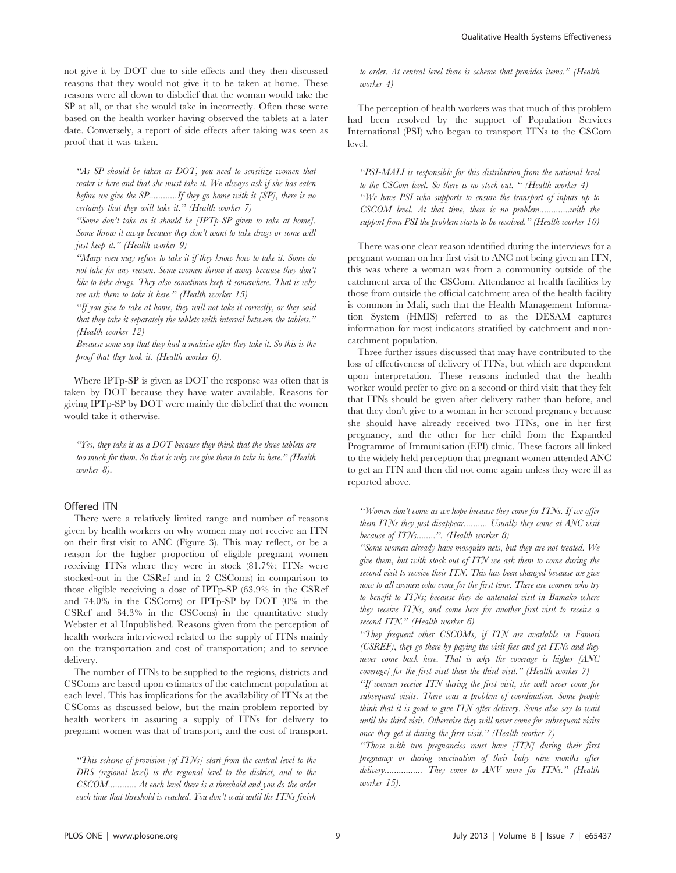not give it by DOT due to side effects and they then discussed reasons that they would not give it to be taken at home. These reasons were all down to disbelief that the woman would take the SP at all, or that she would take in incorrectly. Often these were based on the health worker having observed the tablets at a later date. Conversely, a report of side effects after taking was seen as proof that it was taken.

"As SP should be taken as  $DOT$ , you need to sensitize women that water is here and that she must take it. We always ask if she has eaten before we give the SP..............If they go home with it  $|SP|$ , there is no certainty that they will take it.'' (Health worker 7)

''Some don't take as it should be [IPTp-SP given to take at home]. Some throw it away because they don't want to take drugs or some will just keep it." (Health worker 9)

''Many even may refuse to take it if they know how to take it. Some do not take for any reason. Some women throw it away because they don't like to take drugs. They also sometimes keep it somewhere. That is why we ask them to take it here.'' (Health worker 15)

''If you give to take at home, they will not take it correctly, or they said that they take it separately the tablets with interval between the tablets.'' (Health worker 12)

Because some say that they had a malaise after they take it. So this is the proof that they took it. (Health worker 6).

Where IPTp-SP is given as DOT the response was often that is taken by DOT because they have water available. Reasons for giving IPTp-SP by DOT were mainly the disbelief that the women would take it otherwise.

 $"Yes, they take it as a DOT because they think that the three tablets are$ too much for them. So that is why we give them to take in here.'' (Health worker 8).

# Offered ITN

There were a relatively limited range and number of reasons given by health workers on why women may not receive an ITN on their first visit to ANC (Figure 3). This may reflect, or be a reason for the higher proportion of eligible pregnant women receiving ITNs where they were in stock (81.7%; ITNs were stocked-out in the CSRef and in 2 CSComs) in comparison to those eligible receiving a dose of IPTp-SP (63.9% in the CSRef and 74.0% in the CSComs) or IPTp-SP by DOT (0% in the CSRef and 34.3% in the CSComs) in the quantitative study Webster et al Unpublished. Reasons given from the perception of health workers interviewed related to the supply of ITNs mainly on the transportation and cost of transportation; and to service delivery.

The number of ITNs to be supplied to the regions, districts and CSComs are based upon estimates of the catchment population at each level. This has implications for the availability of ITNs at the CSComs as discussed below, but the main problem reported by health workers in assuring a supply of ITNs for delivery to pregnant women was that of transport, and the cost of transport.

"This scheme of provision  $[$  of  $ITNs$  $]$  start from the central level to the DRS (regional level) is the regional level to the district, and to the CSCOM............ At each level there is a threshold and you do the order each time that threshold is reached. You don't wait until the ITNs finish

to order. At central level there is scheme that provides items.'' (Health worker 4)

The perception of health workers was that much of this problem had been resolved by the support of Population Services International (PSI) who began to transport ITNs to the CSCom level.

''PSI-MALI is responsible for this distribution from the national level to the CSCom level. So there is no stock out. '' (Health worker 4) ''We have PSI who supports to ensure the transport of inputs up to CSCOM level. At that time, there is no problem.............with the support from PSI the problem starts to be resolved." (Health worker 10)

There was one clear reason identified during the interviews for a pregnant woman on her first visit to ANC not being given an ITN, this was where a woman was from a community outside of the catchment area of the CSCom. Attendance at health facilities by those from outside the official catchment area of the health facility is common in Mali, such that the Health Management Information System (HMIS) referred to as the DESAM captures information for most indicators stratified by catchment and noncatchment population.

Three further issues discussed that may have contributed to the loss of effectiveness of delivery of ITNs, but which are dependent upon interpretation. These reasons included that the health worker would prefer to give on a second or third visit; that they felt that ITNs should be given after delivery rather than before, and that they don't give to a woman in her second pregnancy because she should have already received two ITNs, one in her first pregnancy, and the other for her child from the Expanded Programme of Immunisation (EPI) clinic. These factors all linked to the widely held perception that pregnant women attended ANC to get an ITN and then did not come again unless they were ill as reported above.

''Women don't come as we hope because they come for ITNs. If we offer them ITNs they just disappear.......... Usually they come at ANC visit because of ITNs........". (Health worker 8)

''Some women already have mosquito nets, but they are not treated. We give them, but with stock out of ITN we ask them to come during the second visit to receive their ITN. This has been changed because we give now to all women who come for the first time. There are women who try to benefit to ITNs; because they do antenatal visit in Bamako where they receive ITNs, and come here for another first visit to receive a second ITN." (Health worker 6)

''They frequent other CSCOMs, if ITN are available in Famori (CSREF), they go there by paying the visit fees and get ITNs and they never come back here. That is why the coverage is higher [ANC coverage] for the first visit than the third visit." (Health worker 7)

''If women receive ITN during the first visit, she will never come for subsequent visits. There was a problem of coordination. Some people think that it is good to give ITN after delivery. Some also say to wait until the third visit. Otherwise they will never come for subsequent visits once they get it during the first visit.'' (Health worker 7)

"Those with two pregnancies must have [ITN] during their first pregnancy or during vaccination of their baby nine months after delivery................ They come to ANV more for ITNs.'' (Health worker 15).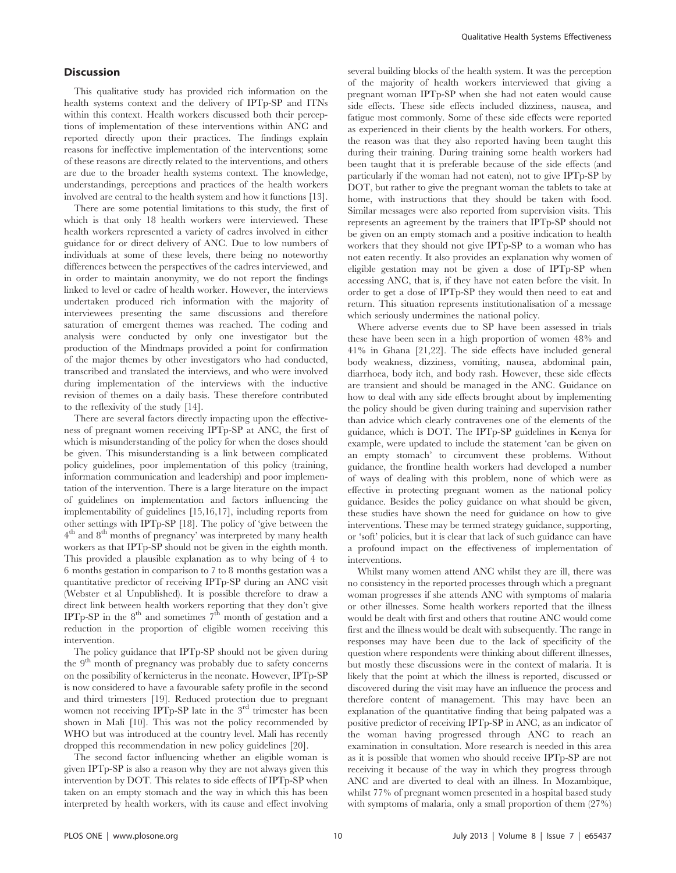# **Discussion**

This qualitative study has provided rich information on the health systems context and the delivery of IPTp-SP and ITNs within this context. Health workers discussed both their perceptions of implementation of these interventions within ANC and reported directly upon their practices. The findings explain reasons for ineffective implementation of the interventions; some of these reasons are directly related to the interventions, and others are due to the broader health systems context. The knowledge, understandings, perceptions and practices of the health workers involved are central to the health system and how it functions [13].

There are some potential limitations to this study, the first of which is that only 18 health workers were interviewed. These health workers represented a variety of cadres involved in either guidance for or direct delivery of ANC. Due to low numbers of individuals at some of these levels, there being no noteworthy differences between the perspectives of the cadres interviewed, and in order to maintain anonymity, we do not report the findings linked to level or cadre of health worker. However, the interviews undertaken produced rich information with the majority of interviewees presenting the same discussions and therefore saturation of emergent themes was reached. The coding and analysis were conducted by only one investigator but the production of the Mindmaps provided a point for confirmation of the major themes by other investigators who had conducted, transcribed and translated the interviews, and who were involved during implementation of the interviews with the inductive revision of themes on a daily basis. These therefore contributed to the reflexivity of the study [14].

There are several factors directly impacting upon the effectiveness of pregnant women receiving IPTp-SP at ANC, the first of which is misunderstanding of the policy for when the doses should be given. This misunderstanding is a link between complicated policy guidelines, poor implementation of this policy (training, information communication and leadership) and poor implementation of the intervention. There is a large literature on the impact of guidelines on implementation and factors influencing the implementability of guidelines [15,16,17], including reports from other settings with IPTp-SP [18]. The policy of 'give between the  $4<sup>th</sup>$  and  $8<sup>th</sup>$  months of pregnancy' was interpreted by many health workers as that IPTp-SP should not be given in the eighth month. This provided a plausible explanation as to why being of 4 to 6 months gestation in comparison to 7 to 8 months gestation was a quantitative predictor of receiving IPTp-SP during an ANC visit (Webster et al Unpublished). It is possible therefore to draw a direct link between health workers reporting that they don't give IPTp-SP in the  $8<sup>th</sup>$  and sometimes  $7<sup>th</sup>$  month of gestation and a reduction in the proportion of eligible women receiving this intervention.

The policy guidance that IPTp-SP should not be given during the  $9<sup>th</sup>$  month of pregnancy was probably due to safety concerns on the possibility of kernicterus in the neonate. However, IPTp-SP is now considered to have a favourable safety profile in the second and third trimesters [19]. Reduced protection due to pregnant women not receiving IPTp-SP late in the 3rd trimester has been shown in Mali [10]. This was not the policy recommended by WHO but was introduced at the country level. Mali has recently dropped this recommendation in new policy guidelines [20].

The second factor influencing whether an eligible woman is given IPTp-SP is also a reason why they are not always given this intervention by DOT. This relates to side effects of IPTp-SP when taken on an empty stomach and the way in which this has been interpreted by health workers, with its cause and effect involving several building blocks of the health system. It was the perception of the majority of health workers interviewed that giving a pregnant woman IPTp-SP when she had not eaten would cause side effects. These side effects included dizziness, nausea, and fatigue most commonly. Some of these side effects were reported as experienced in their clients by the health workers. For others, the reason was that they also reported having been taught this during their training. During training some health workers had been taught that it is preferable because of the side effects (and particularly if the woman had not eaten), not to give IPTp-SP by DOT, but rather to give the pregnant woman the tablets to take at home, with instructions that they should be taken with food. Similar messages were also reported from supervision visits. This represents an agreement by the trainers that IPTp-SP should not be given on an empty stomach and a positive indication to health workers that they should not give IPTp-SP to a woman who has not eaten recently. It also provides an explanation why women of eligible gestation may not be given a dose of IPTp-SP when accessing ANC, that is, if they have not eaten before the visit. In order to get a dose of IPTp-SP they would then need to eat and return. This situation represents institutionalisation of a message which seriously undermines the national policy.

Where adverse events due to SP have been assessed in trials these have been seen in a high proportion of women 48% and 41% in Ghana [21,22]. The side effects have included general body weakness, dizziness, vomiting, nausea, abdominal pain, diarrhoea, body itch, and body rash. However, these side effects are transient and should be managed in the ANC. Guidance on how to deal with any side effects brought about by implementing the policy should be given during training and supervision rather than advice which clearly contravenes one of the elements of the guidance, which is DOT. The IPTp-SP guidelines in Kenya for example, were updated to include the statement 'can be given on an empty stomach' to circumvent these problems. Without guidance, the frontline health workers had developed a number of ways of dealing with this problem, none of which were as effective in protecting pregnant women as the national policy guidance. Besides the policy guidance on what should be given, these studies have shown the need for guidance on how to give interventions. These may be termed strategy guidance, supporting, or 'soft' policies, but it is clear that lack of such guidance can have a profound impact on the effectiveness of implementation of interventions.

Whilst many women attend ANC whilst they are ill, there was no consistency in the reported processes through which a pregnant woman progresses if she attends ANC with symptoms of malaria or other illnesses. Some health workers reported that the illness would be dealt with first and others that routine ANC would come first and the illness would be dealt with subsequently. The range in responses may have been due to the lack of specificity of the question where respondents were thinking about different illnesses, but mostly these discussions were in the context of malaria. It is likely that the point at which the illness is reported, discussed or discovered during the visit may have an influence the process and therefore content of management. This may have been an explanation of the quantitative finding that being palpated was a positive predictor of receiving IPTp-SP in ANC, as an indicator of the woman having progressed through ANC to reach an examination in consultation. More research is needed in this area as it is possible that women who should receive IPTp-SP are not receiving it because of the way in which they progress through ANC and are diverted to deal with an illness. In Mozambique, whilst 77% of pregnant women presented in a hospital based study with symptoms of malaria, only a small proportion of them (27%)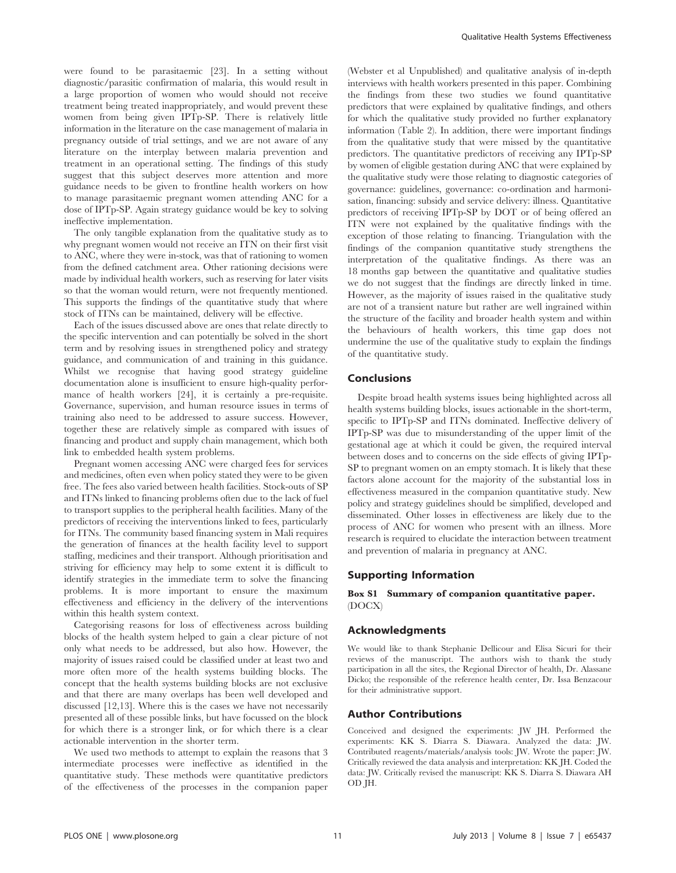were found to be parasitaemic [23]. In a setting without diagnostic/parasitic confirmation of malaria, this would result in a large proportion of women who would should not receive treatment being treated inappropriately, and would prevent these women from being given IPTp-SP. There is relatively little information in the literature on the case management of malaria in pregnancy outside of trial settings, and we are not aware of any literature on the interplay between malaria prevention and treatment in an operational setting. The findings of this study suggest that this subject deserves more attention and more guidance needs to be given to frontline health workers on how to manage parasitaemic pregnant women attending ANC for a dose of IPTp-SP. Again strategy guidance would be key to solving ineffective implementation.

The only tangible explanation from the qualitative study as to why pregnant women would not receive an ITN on their first visit to ANC, where they were in-stock, was that of rationing to women from the defined catchment area. Other rationing decisions were made by individual health workers, such as reserving for later visits so that the woman would return, were not frequently mentioned. This supports the findings of the quantitative study that where stock of ITNs can be maintained, delivery will be effective.

Each of the issues discussed above are ones that relate directly to the specific intervention and can potentially be solved in the short term and by resolving issues in strengthened policy and strategy guidance, and communication of and training in this guidance. Whilst we recognise that having good strategy guideline documentation alone is insufficient to ensure high-quality performance of health workers [24], it is certainly a pre-requisite. Governance, supervision, and human resource issues in terms of training also need to be addressed to assure success. However, together these are relatively simple as compared with issues of financing and product and supply chain management, which both link to embedded health system problems.

Pregnant women accessing ANC were charged fees for services and medicines, often even when policy stated they were to be given free. The fees also varied between health facilities. Stock-outs of SP and ITNs linked to financing problems often due to the lack of fuel to transport supplies to the peripheral health facilities. Many of the predictors of receiving the interventions linked to fees, particularly for ITNs. The community based financing system in Mali requires the generation of finances at the health facility level to support staffing, medicines and their transport. Although prioritisation and striving for efficiency may help to some extent it is difficult to identify strategies in the immediate term to solve the financing problems. It is more important to ensure the maximum effectiveness and efficiency in the delivery of the interventions within this health system context.

Categorising reasons for loss of effectiveness across building blocks of the health system helped to gain a clear picture of not only what needs to be addressed, but also how. However, the majority of issues raised could be classified under at least two and more often more of the health systems building blocks. The concept that the health systems building blocks are not exclusive and that there are many overlaps has been well developed and discussed [12,13]. Where this is the cases we have not necessarily presented all of these possible links, but have focussed on the block for which there is a stronger link, or for which there is a clear actionable intervention in the shorter term.

We used two methods to attempt to explain the reasons that 3 intermediate processes were ineffective as identified in the quantitative study. These methods were quantitative predictors of the effectiveness of the processes in the companion paper

(Webster et al Unpublished) and qualitative analysis of in-depth interviews with health workers presented in this paper. Combining the findings from these two studies we found quantitative predictors that were explained by qualitative findings, and others for which the qualitative study provided no further explanatory information (Table 2). In addition, there were important findings from the qualitative study that were missed by the quantitative predictors. The quantitative predictors of receiving any IPTp-SP by women of eligible gestation during ANC that were explained by the qualitative study were those relating to diagnostic categories of governance: guidelines, governance: co-ordination and harmonisation, financing: subsidy and service delivery: illness. Quantitative predictors of receiving`IPTp-SP by DOT or of being offered an ITN were not explained by the qualitative findings with the exception of those relating to financing. Triangulation with the findings of the companion quantitative study strengthens the interpretation of the qualitative findings. As there was an 18 months gap between the quantitative and qualitative studies we do not suggest that the findings are directly linked in time. However, as the majority of issues raised in the qualitative study are not of a transient nature but rather are well ingrained within the structure of the facility and broader health system and within the behaviours of health workers, this time gap does not undermine the use of the qualitative study to explain the findings of the quantitative study.

# Conclusions

Despite broad health systems issues being highlighted across all health systems building blocks, issues actionable in the short-term, specific to IPTp-SP and ITNs dominated. Ineffective delivery of IPTp-SP was due to misunderstanding of the upper limit of the gestational age at which it could be given, the required interval between doses and to concerns on the side effects of giving IPTp-SP to pregnant women on an empty stomach. It is likely that these factors alone account for the majority of the substantial loss in effectiveness measured in the companion quantitative study. New policy and strategy guidelines should be simplified, developed and disseminated. Other losses in effectiveness are likely due to the process of ANC for women who present with an illness. More research is required to elucidate the interaction between treatment and prevention of malaria in pregnancy at ANC.

## Supporting Information

# Box S1 Summary of companion quantitative paper. (DOCX)

# Acknowledgments

We would like to thank Stephanie Dellicour and Elisa Sicuri for their reviews of the manuscript. The authors wish to thank the study participation in all the sites, the Regional Director of health, Dr. Alassane Dicko; the responsible of the reference health center, Dr. Issa Benzacour for their administrative support.

## Author Contributions

Conceived and designed the experiments: JW JH. Performed the experiments: KK S. Diarra S. Diawara. Analyzed the data: JW. Contributed reagents/materials/analysis tools: JW. Wrote the paper: JW. Critically reviewed the data analysis and interpretation: KK JH. Coded the data: JW. Critically revised the manuscript: KK S. Diarra S. Diawara AH OD JH.